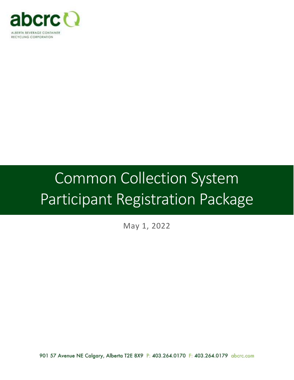

# Common Collection System Participant Registration Package

May 1, 2022

901 57 Avenue NE Calgary, Alberta T2E 8X9 P: 403.264.0170 F: 403.264.0179 abcrc.com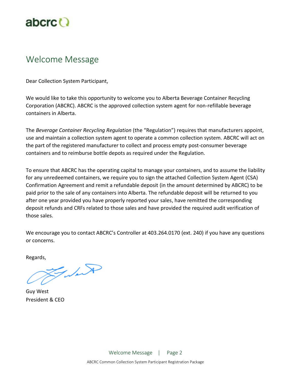

## Welcome Message

Dear Collection System Participant,

We would like to take this opportunity to welcome you to Alberta Beverage Container Recycling Corporation (ABCRC). ABCRC is the approved collection system agent for non-refillable beverage containers in Alberta.

The *Beverage Container Recycling Regulation* (the "Regulation") requires that manufacturers appoint, use and maintain a collection system agent to operate a common collection system. ABCRC will act on the part of the registered manufacturer to collect and process empty post-consumer beverage containers and to reimburse bottle depots as required under the Regulation.

To ensure that ABCRC has the operating capital to manage your containers, and to assume the liability for any unredeemed containers, we require you to sign the attached Collection System Agent (CSA) Confirmation Agreement and remit a refundable deposit (in the amount determined by ABCRC) to be paid prior to the sale of any containers into Alberta. The refundable deposit will be returned to you after one year provided you have properly reported your sales, have remitted the corresponding deposit refunds and CRFs related to those sales and have provided the required audit verification of those sales.

We encourage you to contact ABCRC's Controller at 403.264.0170 (ext. 240) if you have any questions or concerns.

Regards,

Falado

Guy West President & CEO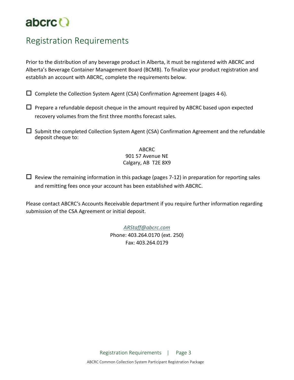

## Registration Requirements

Prior to the distribution of any beverage product in Alberta, it must be registered with ABCRC and Alberta's Beverage Container Management Board (BCMB). To finalize your product registration and establish an account with ABCRC, complete the requirements below.

 $\square$  Complete the Collection System Agent (CSA) Confirmation Agreement (pages 4-6).

 $\Box$  Prepare a refundable deposit cheque in the amount required by ABCRC based upon expected recovery volumes from the first three months forecast sales.

 $\square$  Submit the completed Collection System Agent (CSA) Confirmation Agreement and the refundable deposit cheque to:

> ABCRC 901 57 Avenue NE Calgary, AB T2E 8X9

 $\Box$  Review the remaining information in this package (pages 7-12) in preparation for reporting sales and remitting fees once your account has been established with ABCRC.

Please contact ABCRC's Accounts Receivable department if you require further information regarding submission of the CSA Agreement or initial deposit.

> *[ARStaff@abcrc.com](mailto:ARStaff@abcrc.com)* Phone: 403.264.0170 (ext. 250) Fax: 403.264.0179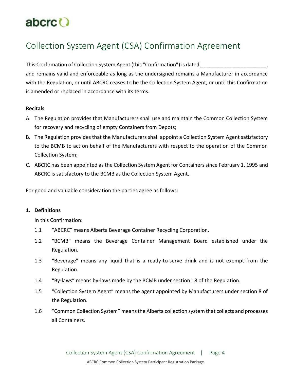## abcrc<sup>()</sup>

## Collection System Agent (CSA) Confirmation Agreement

This Confirmation of Collection System Agent (this "Confirmation") is dated and remains valid and enforceable as long as the undersigned remains a Manufacturer in accordance with the Regulation, or until ABCRC ceases to be the Collection System Agent, or until this Confirmation is amended or replaced in accordance with its terms.

#### **Recitals**

- A. The Regulation provides that Manufacturers shall use and maintain the Common Collection System for recovery and recycling of empty Containers from Depots;
- B. The Regulation provides that the Manufacturers shall appoint a Collection System Agent satisfactory to the BCMB to act on behalf of the Manufacturers with respect to the operation of the Common Collection System;
- C. ABCRC has been appointed as the Collection System Agent for Containers since February 1, 1995 and ABCRC is satisfactory to the BCMB as the Collection System Agent.

For good and valuable consideration the parties agree as follows:

#### **1. Definitions**

In this Confirmation:

- 1.1 "ABCRC" means Alberta Beverage Container Recycling Corporation.
- 1.2 "BCMB" means the Beverage Container Management Board established under the Regulation.
- 1.3 "Beverage" means any liquid that is a ready-to-serve drink and is not exempt from the Regulation.
- 1.4 "By-laws" means by-laws made by the BCMB under section 18 of the Regulation.
- 1.5 "Collection System Agent" means the agent appointed by Manufacturers under section 8 of the Regulation.
- 1.6 "Common Collection System" means the Alberta collection system that collects and processes all Containers.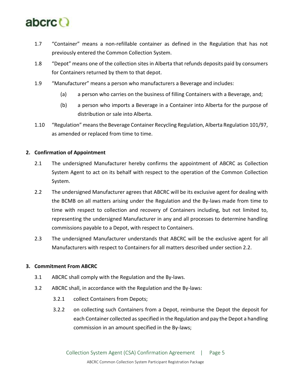

- 1.7 "Container" means a non-refillable container as defined in the Regulation that has not previously entered the Common Collection System.
- 1.8 "Depot" means one of the collection sites in Alberta that refunds deposits paid by consumers for Containers returned by them to that depot.
- 1.9 "Manufacturer" means a person who manufacturers a Beverage and includes:
	- (a) a person who carries on the business of filling Containers with a Beverage, and;
	- (b) a person who imports a Beverage in a Container into Alberta for the purpose of distribution or sale into Alberta.
- 1.10 "Regulation" means the Beverage Container Recycling Regulation, Alberta Regulation 101/97, as amended or replaced from time to time.

#### **2. Confirmation of Appointment**

- 2.1 The undersigned Manufacturer hereby confirms the appointment of ABCRC as Collection System Agent to act on its behalf with respect to the operation of the Common Collection System.
- 2.2 The undersigned Manufacturer agrees that ABCRC will be its exclusive agent for dealing with the BCMB on all matters arising under the Regulation and the By-laws made from time to time with respect to collection and recovery of Containers including, but not limited to, representing the undersigned Manufacturer in any and all processes to determine handling commissions payable to a Depot, with respect to Containers.
- 2.3 The undersigned Manufacturer understands that ABCRC will be the exclusive agent for all Manufacturers with respect to Containers for all matters described under section 2.2.

#### **3. Commitment From ABCRC**

- 3.1 ABCRC shall comply with the Regulation and the By-laws.
- 3.2 ABCRC shall, in accordance with the Regulation and the By-laws:
	- 3.2.1 collect Containers from Depots;
	- 3.2.2 on collecting such Containers from a Depot, reimburse the Depot the deposit for each Container collected as specified in the Regulation and pay the Depot a handling commission in an amount specified in the By-laws;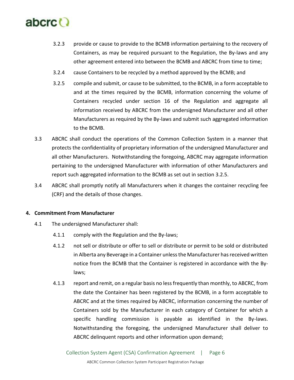

- 3.2.3 provide or cause to provide to the BCMB information pertaining to the recovery of Containers, as may be required pursuant to the Regulation, the By-laws and any other agreement entered into between the BCMB and ABCRC from time to time;
- 3.2.4 cause Containers to be recycled by a method approved by the BCMB; and
- 3.2.5 compile and submit, or cause to be submitted, to the BCMB, in a form acceptable to and at the times required by the BCMB, information concerning the volume of Containers recycled under section 16 of the Regulation and aggregate all information received by ABCRC from the undersigned Manufacturer and all other Manufacturers as required by the By-laws and submit such aggregated information to the BCMB.
- 3.3 ABCRC shall conduct the operations of the Common Collection System in a manner that protects the confidentiality of proprietary information of the undersigned Manufacturer and all other Manufacturers. Notwithstanding the foregoing, ABCRC may aggregate information pertaining to the undersigned Manufacturer with information of other Manufacturers and report such aggregated information to the BCMB as set out in section 3.2.5.
- 3.4 ABCRC shall promptly notify all Manufacturers when it changes the container recycling fee (CRF) and the details of those changes.

#### **4. Commitment From Manufacturer**

- 4.1 The undersigned Manufacturer shall:
	- 4.1.1 comply with the Regulation and the By-laws;
	- 4.1.2 not sell or distribute or offer to sell or distribute or permit to be sold or distributed in Alberta any Beverage in a Container unless the Manufacturer has received written notice from the BCMB that the Container is registered in accordance with the Bylaws;
	- 4.1.3 report and remit, on a regular basis no less frequently than monthly, to ABCRC, from the date the Container has been registered by the BCMB, in a form acceptable to ABCRC and at the times required by ABCRC, information concerning the number of Containers sold by the Manufacturer in each category of Container for which a specific handling commission is payable as identified in the By-laws. Notwithstanding the foregoing, the undersigned Manufacturer shall deliver to ABCRC delinquent reports and other information upon demand;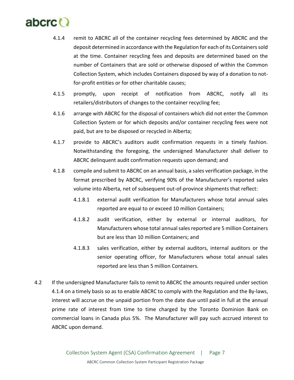

- 4.1.4 remit to ABCRC all of the container recycling fees determined by ABCRC and the deposit determined in accordance with the Regulation for each of its Containers sold at the time. Container recycling fees and deposits are determined based on the number of Containers that are sold or otherwise disposed of within the Common Collection System, which includes Containers disposed by way of a donation to notfor-profit entities or for other charitable causes;
- 4.1.5 promptly, upon receipt of notification from ABCRC, notify all its retailers/distributors of changes to the container recycling fee;
- 4.1.6 arrange with ABCRC for the disposal of containers which did not enter the Common Collection System or for which deposits and/or container recycling fees were not paid, but are to be disposed or recycled in Alberta;
- 4.1.7 provide to ABCRC's auditors audit confirmation requests in a timely fashion. Notwithstanding the foregoing, the undersigned Manufacturer shall deliver to ABCRC delinquent audit confirmation requests upon demand; and
- 4.1.8 compile and submit to ABCRC on an annual basis, a sales verification package, in the format prescribed by ABCRC, verifying 90% of the Manufacturer's reported sales volume into Alberta, net of subsequent out-of-province shipments that reflect:
	- 4.1.8.1 external audit verification for Manufacturers whose total annual sales reported are equal to or exceed 10 million Containers;
	- 4.1.8.2 audit verification, either by external or internal auditors, for Manufacturers whose total annual sales reported are 5 million Containers but are less than 10 million Containers; and
	- 4.1.8.3 sales verification, either by external auditors, internal auditors or the senior operating officer, for Manufacturers whose total annual sales reported are less than 5 million Containers.
- 4.2 If the undersigned Manufacturer fails to remit to ABCRC the amounts required under section 4.1.4 on a timely basis so as to enable ABCRC to comply with the Regulation and the By-laws, interest will accrue on the unpaid portion from the date due until paid in full at the annual prime rate of interest from time to time charged by the Toronto Dominion Bank on commercial loans in Canada plus 5%. The Manufacturer will pay such accrued interest to ABCRC upon demand.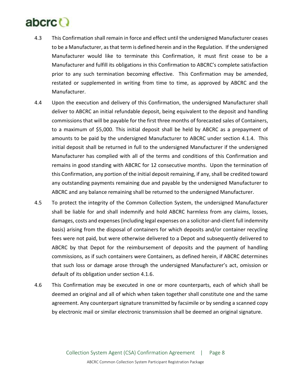## abcrc

- 4.3 This Confirmation shall remain in force and effect until the undersigned Manufacturer ceases to be a Manufacturer, as that term is defined herein and in the Regulation. If the undersigned Manufacturer would like to terminate this Confirmation, it must first cease to be a Manufacturer and fulfill its obligations in this Confirmation to ABCRC's complete satisfaction prior to any such termination becoming effective. This Confirmation may be amended, restated or supplemented in writing from time to time, as approved by ABCRC and the Manufacturer.
- 4.4 Upon the execution and delivery of this Confirmation, the undersigned Manufacturer shall deliver to ABCRC an initial refundable deposit, being equivalent to the deposit and handling commissions that will be payable for the first three months of forecasted sales of Containers, to a maximum of \$5,000. This initial deposit shall be held by ABCRC as a prepayment of amounts to be paid by the undersigned Manufacturer to ABCRC under section 4.1.4. This initial deposit shall be returned in full to the undersigned Manufacturer if the undersigned Manufacturer has complied with all of the terms and conditions of this Confirmation and remains in good standing with ABCRC for 12 consecutive months. Upon the termination of this Confirmation, any portion of the initial deposit remaining, if any, shall be credited toward any outstanding payments remaining due and payable by the undersigned Manufacturer to ABCRC and any balance remaining shall be returned to the undersigned Manufacturer.
- 4.5 To protect the integrity of the Common Collection System, the undersigned Manufacturer shall be liable for and shall indemnify and hold ABCRC harmless from any claims, losses, damages, costs and expenses (including legal expenses on a solicitor-and-client full indemnity basis) arising from the disposal of containers for which deposits and/or container recycling fees were not paid, but were otherwise delivered to a Depot and subsequently delivered to ABCRC by that Depot for the reimbursement of deposits and the payment of handling commissions, as if such containers were Containers, as defined herein, if ABCRC determines that such loss or damage arose through the undersigned Manufacturer's act, omission or default of its obligation under section 4.1.6.
- 4.6 This Confirmation may be executed in one or more counterparts, each of which shall be deemed an original and all of which when taken together shall constitute one and the same agreement. Any counterpart signature transmitted by facsimile or by sending a scanned copy by electronic mail or similar electronic transmission shall be deemed an original signature.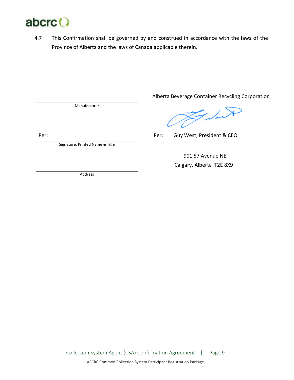

4.7 This Confirmation shall be governed by and construed in accordance with the laws of the Province of Alberta and the laws of Canada applicable therein.

Manufacturer

Per:

Signature, Printed Name & Title

Alberta Beverage Container Recycling Corporation

Falado

Per: Guy West, President & CEO

 901 57 Avenue NE Calgary, Alberta T2E 8X9

Address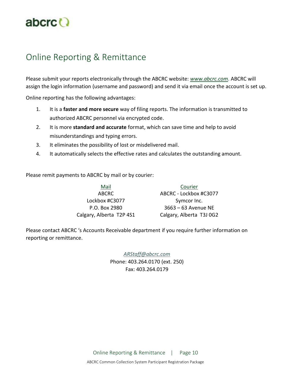

## Online Reporting & Remittance

Please submit your reports electronically through the ABCRC website: *[www.abcrc.com](http://www.abcrc.com/)*. ABCRC will assign the login information (username and password) and send it via email once the account is set up.

Online reporting has the following advantages:

- 1. It is a **faster and more secure** way of filing reports. The information is transmitted to authorized ABCRC personnel via encrypted code.
- 2. It is more **standard and accurate** format, which can save time and help to avoid misunderstandings and typing errors.
- 3. It eliminates the possibility of lost or misdelivered mail.
- 4. It automatically selects the effective rates and calculates the outstanding amount.

Please remit payments to ABCRC by mail or by courier:

Mail Courier ABCRC ABCRC - Lockbox #C3077 Lockbox #C3077 Symcor Inc. P.O. Box 2980 3663 – 63 Avenue NE Calgary, Alberta T2P 4S1 Calgary, Alberta T3J 0G2

Please contact ABCRC 's Accounts Receivable department if you require further information on reporting or remittance.

> *[ARStaff@abcrc.com](mailto:ARStaff@abcrc.com)* Phone: 403.264.0170 (ext. 250) Fax: 403.264.0179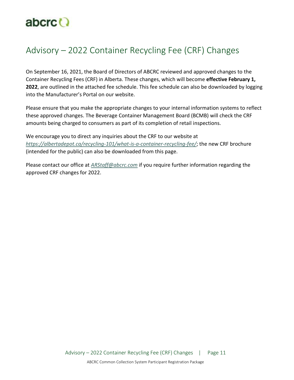

## Advisory – 2022 Container Recycling Fee (CRF) Changes

On September 16, 2021, the Board of Directors of ABCRC reviewed and approved changes to the Container Recycling Fees (CRF) in Alberta. These changes, which will become **effective February 1, 2022**, are outlined in the attached fee schedule. This fee schedule can also be downloaded by logging into the Manufacturer's Portal on our website.

Please ensure that you make the appropriate changes to your internal information systems to reflect these approved changes. The Beverage Container Management Board (BCMB) will check the CRF amounts being charged to consumers as part of its completion of retail inspections.

We encourage you to direct any inquiries about the CRF to our website at *<https://albertadepot.ca/recycling-101/what-is-a-container-recycling-fee/>*; the new CRF brochure (intended for the public) can also be downloaded from this page.

Please contact our office at *[ARStaff@abcrc.com](mailto:ARStaff@abcrc.com)* if you require further information regarding the approved CRF changes for 2022.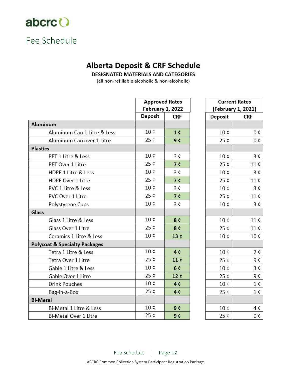

## Fee Schedule

### **Alberta Deposit & CRF Schedule**

**DESIGNATED MATERIALS AND CATEGORIES** 

(all non-refillable alcoholic & non-alcoholic)

|                                          | <b>Approved Rates</b><br>February 1, 2022 |                |  |
|------------------------------------------|-------------------------------------------|----------------|--|
|                                          | Deposit                                   | <b>CRF</b>     |  |
| <b>Aluminum</b>                          |                                           |                |  |
| Aluminum Can 1 Litre & Less              | 10 <sub>c</sub>                           | 1 <sub>c</sub> |  |
| Aluminum Can over 1 Litre                | 25 ¢                                      | 9 ¢            |  |
| <b>Plastics</b>                          |                                           |                |  |
| PET 1 Litre & Less                       | 10 <sub>c</sub>                           | 3 <sub>c</sub> |  |
| PET Over 1 Litre                         | 25c                                       | 7c             |  |
| <b>HDPE 1 Litre &amp; Less</b>           | 10 <sub>c</sub>                           | 3 <sub>c</sub> |  |
| <b>HDPE Over 1 Litre</b>                 | 25c                                       | 7¢             |  |
| <b>PVC 1 Litre &amp; Less</b>            | 10 <sub>c</sub><br>3c                     |                |  |
| <b>PVC Over 1 Litre</b>                  | 25c                                       | <b>7¢</b>      |  |
| Polystyrene Cups                         | 10 <sub>c</sub>                           | 3c             |  |
| Glass                                    |                                           |                |  |
| Glass 1 Litre & Less                     | 10 <sub>c</sub>                           | 8 ¢            |  |
| Glass Over 1 Litre                       | 25 ¢<br>8 ¢                               |                |  |
| Ceramics 1 Litre & Less                  | 10c                                       | 13c            |  |
| <b>Polycoat &amp; Specialty Packages</b> |                                           |                |  |
| Tetra 1 Litre & Less                     | 10 ¢                                      | 4c             |  |
| <b>Tetra Over 1 Litre</b>                | 25 ¢                                      | 11c            |  |
| Gable 1 Litre & Less                     | 10 <sub>c</sub>                           | 6 ¢            |  |
| Gable Over 1 Litre                       | 25 ¢                                      | 12 ¢           |  |
| <b>Drink Pouches</b>                     | 10 <sub>c</sub>                           | 4c             |  |
| Bag-in-a-Box                             | 25c                                       | 4c             |  |
| <b>Bi-Metal</b>                          |                                           |                |  |
| Bi-Metal 1 Litre & Less                  | 10 <sub>c</sub>                           | 9 ¢            |  |
| <b>Bi-Metal Over 1 Litre</b>             | 25c                                       | 9 <sub>c</sub> |  |

| <b>Current Rates</b> |                |  |  |  |  |
|----------------------|----------------|--|--|--|--|
| (February 1, 2021)   |                |  |  |  |  |
| Deposit              | <b>CRF</b>     |  |  |  |  |
| 10 ¢                 | 0¢             |  |  |  |  |
| 25 ¢                 | 0 <sub>c</sub> |  |  |  |  |
|                      |                |  |  |  |  |
| 10 ¢                 | 3c             |  |  |  |  |
| 25 ¢                 | 11 ¢           |  |  |  |  |
| 10 ¢                 | 3c             |  |  |  |  |
| 25 ¢                 | 11 ¢           |  |  |  |  |
| 10 ¢                 | 3 <sup>c</sup> |  |  |  |  |
| 25 ¢                 | 11 ¢           |  |  |  |  |
| 10 ¢                 | 3c             |  |  |  |  |
|                      |                |  |  |  |  |
| 10 ¢                 | 11 ¢           |  |  |  |  |
| 25 ¢                 | 11 ¢           |  |  |  |  |
| 10 ¢                 | 10 ¢           |  |  |  |  |
|                      |                |  |  |  |  |
| 10 ¢                 | 2c             |  |  |  |  |
| 25 ¢                 | 9 ¢            |  |  |  |  |
| 10 ¢                 | 3¢             |  |  |  |  |
| 25 ¢                 | 9 ¢            |  |  |  |  |
| 10 ¢                 | $1 \circ$      |  |  |  |  |
| 25 ¢                 | 1 ¢            |  |  |  |  |
|                      |                |  |  |  |  |
| 10 ¢                 | 4¢             |  |  |  |  |
| 25 ¢                 | 0¢             |  |  |  |  |